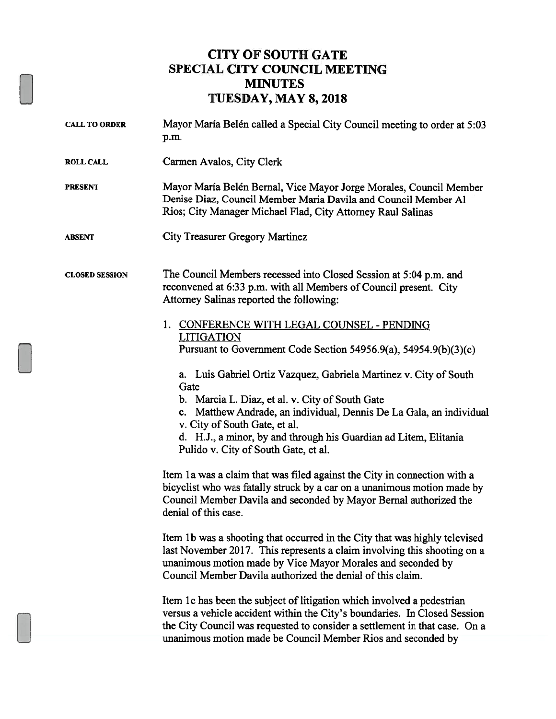## CITY OF SOUTH GATE SPECIAL CITY COUNCIL MEETING MINUTES TUESDAY, MAY 8, 2018

| <b>CALL TO ORDER</b>  | Mayor María Belén called a Special City Council meeting to order at 5:03<br>p.m.                                                                                                                                                                                                                                                                 |
|-----------------------|--------------------------------------------------------------------------------------------------------------------------------------------------------------------------------------------------------------------------------------------------------------------------------------------------------------------------------------------------|
| <b>ROLL CALL</b>      | Carmen Avalos, City Clerk                                                                                                                                                                                                                                                                                                                        |
| <b>PRESENT</b>        | Mayor María Belén Bernal, Vice Mayor Jorge Morales, Council Member<br>Denise Diaz, Council Member Maria Davila and Council Member Al<br>Rios; City Manager Michael Flad, City Attorney Raul Salinas                                                                                                                                              |
| <b>ABSENT</b>         | City Treasurer Gregory Martinez                                                                                                                                                                                                                                                                                                                  |
| <b>CLOSED SESSION</b> | The Council Members recessed into Closed Session at 5:04 p.m. and<br>reconvened at 6:33 p.m. with all Members of Council present. City<br>Attorney Salinas reported the following:                                                                                                                                                               |
|                       | 1. CONFERENCE WITH LEGAL COUNSEL - PENDING<br><b>LITIGATION</b><br>Pursuant to Government Code Section 54956.9(a), 54954.9(b)(3)(c)                                                                                                                                                                                                              |
|                       | a. Luis Gabriel Ortiz Vazquez, Gabriela Martinez v. City of South<br>Gate<br>b. Marcia L. Diaz, et al. v. City of South Gate<br>c. Matthew Andrade, an individual, Dennis De La Gala, an individual<br>v. City of South Gate, et al.<br>d. H.J., a minor, by and through his Guardian ad Litem, Elitania<br>Pulido v. City of South Gate, et al. |
|                       | Item 1a was a claim that was filed against the City in connection with a<br>bicyclist who was fatally struck by a car on a unanimous motion made by<br>Council Member Davila and seconded by Mayor Bernal authorized the<br>denial of this case.                                                                                                 |
|                       | Item 1b was a shooting that occurred in the City that was highly televised<br>last November 2017. This represents a claim involving this shooting on a<br>unanimous motion made by Vice Mayor Morales and seconded by<br>Council Member Davila authorized the denial of this claim.                                                              |
|                       | Item 1c has been the subject of litigation which involved a pedestrian<br>versus a vehicle accident within the City's boundaries. In Closed Session<br>the City Council was requested to consider a settlement in that case. On a<br>unanimous motion made be Council Member Rios and seconded by                                                |
|                       |                                                                                                                                                                                                                                                                                                                                                  |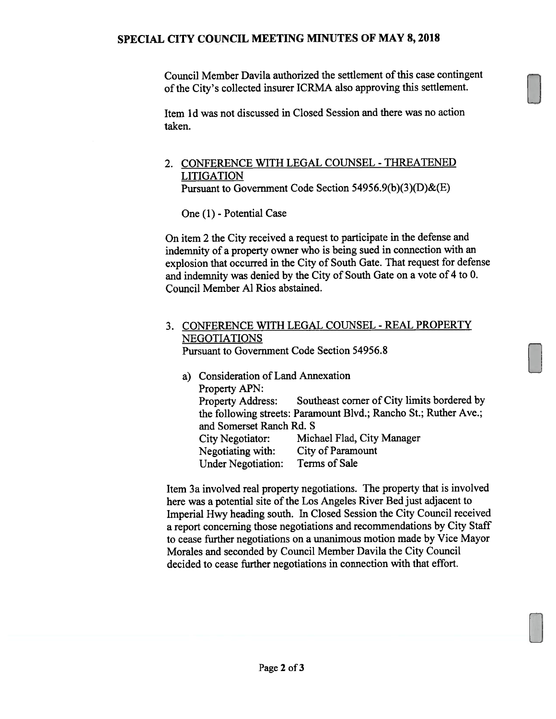Council Member Davila authorized the settlement of this case contingent ofthe City's collected insurer ICRMA also approving this settlement.

Item 1d was not discussed in Closed Session and there was no action taken.

## 2. CONFERENCE WITH LEGAL COUNSEL -THREATENED LITIGATION

Pursuant to Government Code Section 54956.9(b)(3)(D)&(E)

One (1) - Potential Case

On item 2 the City received a request to participate in the defense and indemnity of a property owner who is being sued in connection with an explosion that occurred in the City of South Gate. That request for defense and indemnity was denied by the City of South Gate on a vote of 4 to 0. Council Member Al Rios abstained.

## 3. CONFERENCE WITH LEGAL COUNSEL -REAL PROPERTY NEGOTIATIONS

Pursuant to Government Code Section 54956.8

a) Consideration of Land Annexation Property APN: Property Address: Southeast corner of City limits bordered by the following streets: Paramount Blvd.; Rancho St.; Ruther Ave.; and Somerset Ranch Rd. S City Negotiator: Michael Flad, City Manager Negotiating with: City of Paramount Under Negotiation: Terms of Sale

Item 3a involved real property negotiations. The property that is involved here was a potential site of the Los Angeles River Bed just adjacent to Imperial Hwy heading south. In Closed Session the City Council received a report concerning those negotiations and recommendations by City Staff to cease further negotiations on a unanimous motion made by Vice Mayor Morales and seconded by Council Member Davila the City Council decided to cease further negotiations in connection with that effort.